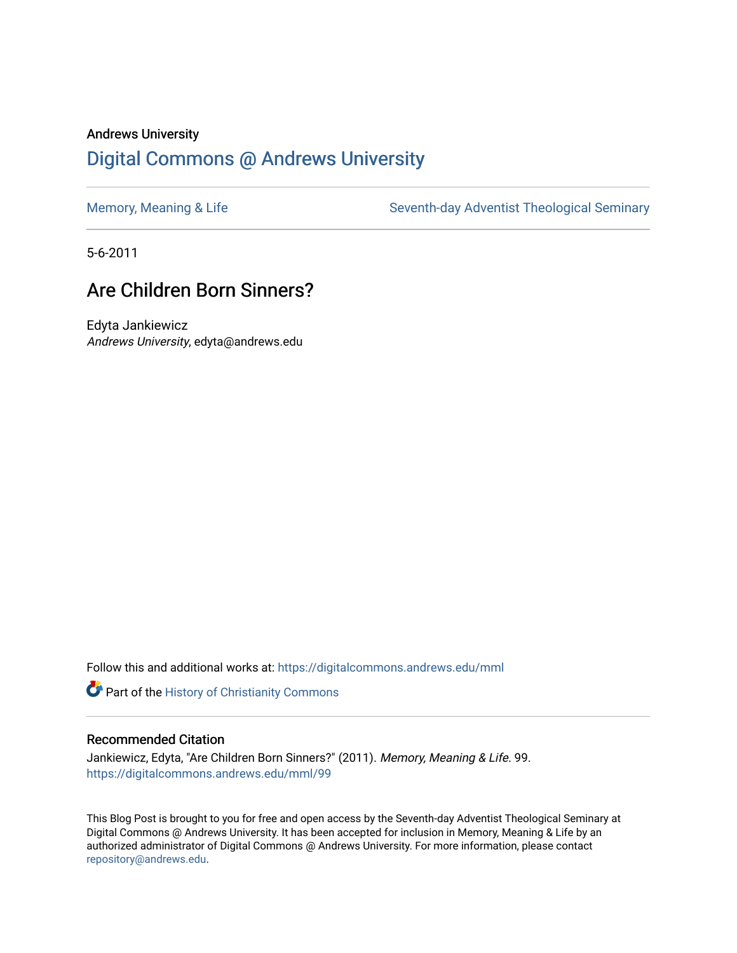## Andrews University [Digital Commons @ Andrews University](https://digitalcommons.andrews.edu/)

[Memory, Meaning & Life](https://digitalcommons.andrews.edu/mml) Seventh-day Adventist Theological Seminary

5-6-2011

## Are Children Born Sinners?

Edyta Jankiewicz Andrews University, edyta@andrews.edu

Follow this and additional works at: [https://digitalcommons.andrews.edu/mml](https://digitalcommons.andrews.edu/mml?utm_source=digitalcommons.andrews.edu%2Fmml%2F99&utm_medium=PDF&utm_campaign=PDFCoverPages) 

**Part of the History of Christianity Commons** 

#### Recommended Citation

Jankiewicz, Edyta, "Are Children Born Sinners?" (2011). Memory, Meaning & Life. 99. [https://digitalcommons.andrews.edu/mml/99](https://digitalcommons.andrews.edu/mml/99?utm_source=digitalcommons.andrews.edu%2Fmml%2F99&utm_medium=PDF&utm_campaign=PDFCoverPages)

This Blog Post is brought to you for free and open access by the Seventh-day Adventist Theological Seminary at Digital Commons @ Andrews University. It has been accepted for inclusion in Memory, Meaning & Life by an authorized administrator of Digital Commons @ Andrews University. For more information, please contact [repository@andrews.edu](mailto:repository@andrews.edu).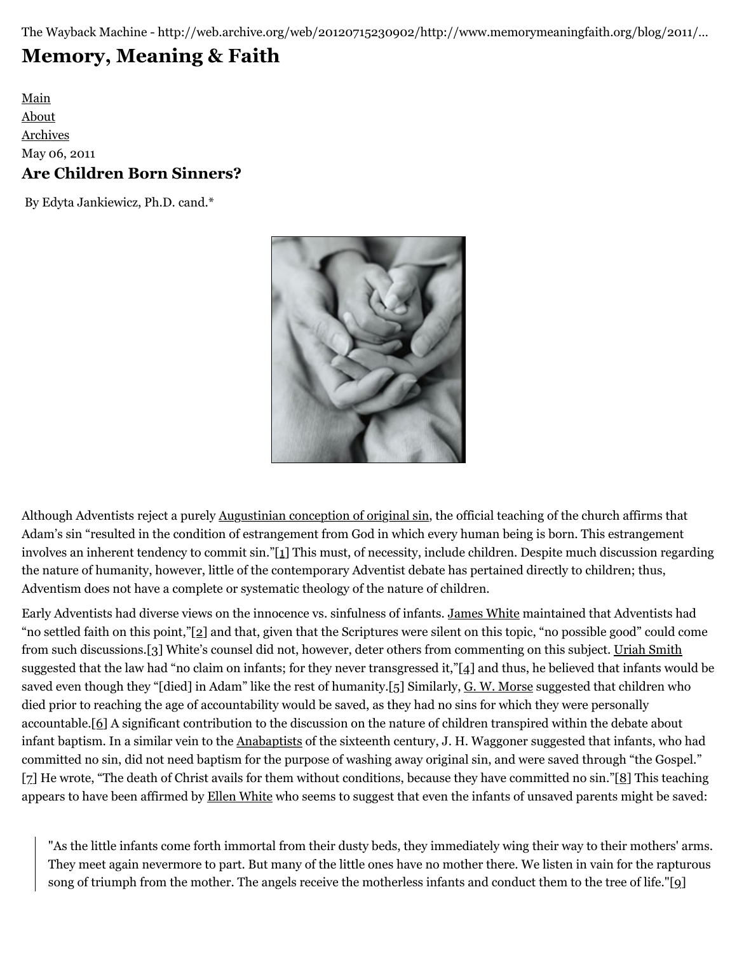The Wayback Machine - http://web.archive.org/web/20120715230902/http://www.memorymeaningfaith.org/blog/2011/…

# **[Memory, Meaning & Faith](http://web.archive.org/web/20120715230902/http://www.memorymeaningfaith.org/blog/)**

[Main](http://web.archive.org/web/20120715230902/http://www.memorymeaningfaith.org/blog) [About](http://web.archive.org/web/20120715230902/http://www.memorymeaningfaith.org/blog/about.html) [Archives](http://web.archive.org/web/20120715230902/http://www.memorymeaningfaith.org/blog/archives.html) May 06, 2011 **Are Children Born Sinners?**

By Edyta Jankiewicz, Ph.D. cand.\*



Although Adventists reject a purely [Augustinian conception of original sin,](http://web.archive.org/web/20120715230902/http://en.wikipedia.org/wiki/Augustine_of_Hippo#Original_sin) the official teaching of the church affirms that Adam's sin "resulted in the condition of estrangement from God in which every human being is born. This estrangement involves an inherent tendency to commit sin.["\[1\]](http://web.archive.org/web/20120715230902/http://www.memorymeaningfaith.org/blog/2011/05/are-children-born-sinners.html#_ftn1) This must, of necessity, include children. Despite much discussion regarding the nature of humanity, however, little of the contemporary Adventist debate has pertained directly to children; thus, Adventism does not have a complete or systematic theology of the nature of children.

Early Adventists had diverse views on the innocence vs. sinfulness of infants. [James White](http://web.archive.org/web/20120715230902/http://en.wikipedia.org/wiki/James_Springer_White) maintained that Adventists had "no settled faith on this point,"[\[2\]](http://web.archive.org/web/20120715230902/http://www.memorymeaningfaith.org/blog/2011/05/are-children-born-sinners.html#_ftn2) and that, given that the Scriptures were silent on this topic, "no possible good" could come from such discussions.[\[3\]](http://web.archive.org/web/20120715230902/http://www.memorymeaningfaith.org/blog/2011/05/are-children-born-sinners.html#_ftn3) White's counsel did not, however, deter others from commenting on this subject. [Uriah Smith](http://web.archive.org/web/20120715230902/http://en.wikipedia.org/wiki/Uriah_Smith) suggested that the law had "no claim on infants; for they never transgressed it,"[\[4\]](http://web.archive.org/web/20120715230902/http://www.memorymeaningfaith.org/blog/2011/05/are-children-born-sinners.html#_ftn4) and thus, he believed that infants would be saved even though they "[died] in Adam" like the rest of humanity.[\[5\]](http://web.archive.org/web/20120715230902/http://www.memorymeaningfaith.org/blog/2011/05/are-children-born-sinners.html#_ftn5) Similarly, [G. W. Morse](http://web.archive.org/web/20120715230902/http://en.wikipedia.org/wiki/George_Washington_Morse) suggested that children who died prior to reaching the age of accountability would be saved, as they had no sins for which they were personally accountable.[\[6\]](http://web.archive.org/web/20120715230902/http://www.memorymeaningfaith.org/blog/2011/05/are-children-born-sinners.html#_ftn6) A significant contribution to the discussion on the nature of children transpired within the debate about infant baptism. In a similar vein to the [Anabaptists](http://web.archive.org/web/20120715230902/http://en.wikipedia.org/wiki/Anabaptists) of the sixteenth century, J. H. Waggoner suggested that infants, who had committed no sin, did not need baptism for the purpose of washing away original sin, and were saved through "the Gospel." [\[7\]](http://web.archive.org/web/20120715230902/http://www.memorymeaningfaith.org/blog/2011/05/are-children-born-sinners.html#_ftn7) He wrote, "The death of Christ avails for them without conditions, because they have committed no sin."[\[8\]](http://web.archive.org/web/20120715230902/http://www.memorymeaningfaith.org/blog/2011/05/are-children-born-sinners.html#_ftn8) This teaching appears to have been affirmed by [Ellen White](http://web.archive.org/web/20120715230902/http://www.whiteestate.org/about/egwbio.asp) who seems to suggest that even the infants of unsaved parents might be saved:

"As the little infants come forth immortal from their dusty beds, they immediately wing their way to their mothers' arms. They meet again nevermore to part. But many of the little ones have no mother there. We listen in vain for the rapturous song of triumph from the mother. The angels receive the motherless infants and conduct them to the tree of life."[\[9\]](http://web.archive.org/web/20120715230902/http://www.memorymeaningfaith.org/blog/2011/05/are-children-born-sinners.html#_ftn9)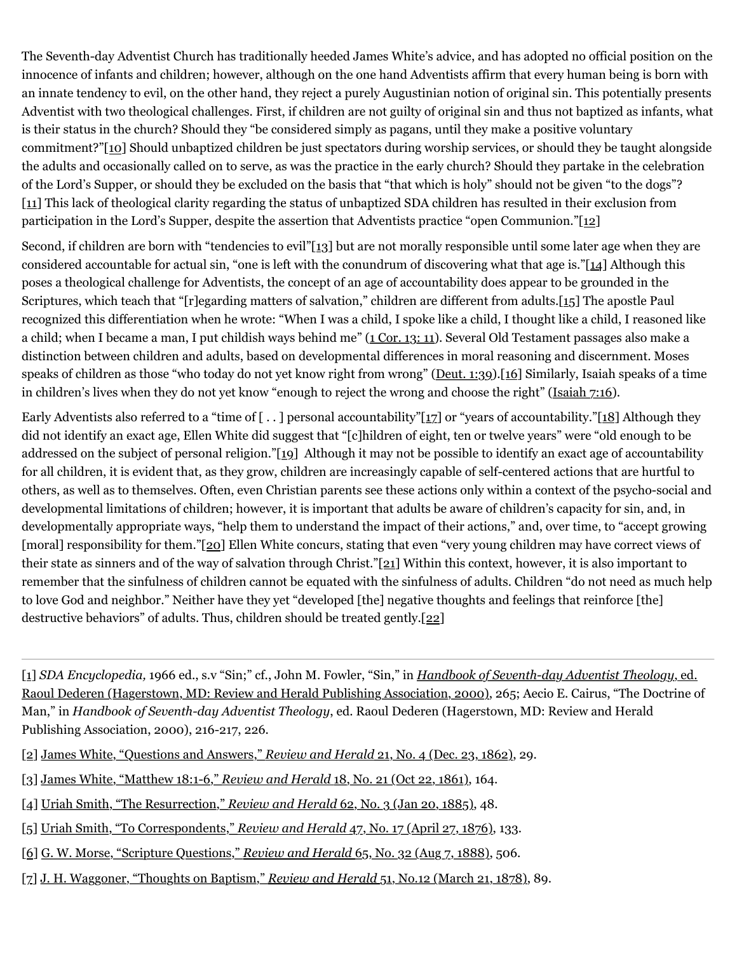The Seventh-day Adventist Church has traditionally heeded James White's advice, and has adopted no official position on the innocence of infants and children; however, although on the one hand Adventists affirm that every human being is born with an innate tendency to evil, on the other hand, they reject a purely Augustinian notion of original sin. This potentially presents Adventist with two theological challenges. First, if children are not guilty of original sin and thus not baptized as infants, what is their status in the church? Should they "be considered simply as pagans, until they make a positive voluntary commitment?["\[10\]](http://web.archive.org/web/20120715230902/http://www.memorymeaningfaith.org/blog/2011/05/are-children-born-sinners.html#_ftn10) Should unbaptized children be just spectators during worship services, or should they be taught alongside the adults and occasionally called on to serve, as was the practice in the early church? Should they partake in the celebration of the Lord's Supper, or should they be excluded on the basis that "that which is holy" should not be given "to the dogs"? [\[11\]](http://web.archive.org/web/20120715230902/http://www.memorymeaningfaith.org/blog/2011/05/are-children-born-sinners.html#_ftn11) This lack of theological clarity regarding the status of unbaptized SDA children has resulted in their exclusion from participation in the Lord's Supper, despite the assertion that Adventists practice "open Communion."[\[12\]](http://web.archive.org/web/20120715230902/http://www.memorymeaningfaith.org/blog/2011/05/are-children-born-sinners.html#_ftn12)

Second, if children are born with "tendencies to evil"[\[13\]](http://web.archive.org/web/20120715230902/http://www.memorymeaningfaith.org/blog/2011/05/are-children-born-sinners.html#_ftn13) but are not morally responsible until some later age when they are considered accountable for actual sin, "one is left with the conundrum of discovering what that age is."[\[14\]](http://web.archive.org/web/20120715230902/http://www.memorymeaningfaith.org/blog/2011/05/are-children-born-sinners.html#_ftn14) Although this poses a theological challenge for Adventists, the concept of an age of accountability does appear to be grounded in the Scriptures, which teach that "[r]egarding matters of salvation," children are different from adults[.\[15\]](http://web.archive.org/web/20120715230902/http://www.memorymeaningfaith.org/blog/2011/05/are-children-born-sinners.html#_ftn15) The apostle Paul recognized this differentiation when he wrote: "When I was a child, I spoke like a child, I thought like a child, I reasoned like a child; when I became a man, I put childish ways behind me" [\(1 Cor. 13: 11](http://web.archive.org/web/20120715230902/http://www.biblegateway.com/passage/?search=1%20Cor.%2013:%2011&version=NKJV)). Several Old Testament passages also make a distinction between children and adults, based on developmental differences in moral reasoning and discernment. Moses speaks of children as those "who today do not yet know right from wrong" [\(Deut. 1:39](http://web.archive.org/web/20120715230902/http://www.biblegateway.com/passage/?search=Deut.%201:39&version=NKJV)).[\[16\]](http://web.archive.org/web/20120715230902/http://www.memorymeaningfaith.org/blog/2011/05/are-children-born-sinners.html#_ftn16) Similarly, Isaiah speaks of a time in children's lives when they do not yet know "enough to reject the wrong and choose the right" [\(Isaiah 7:16\)](http://web.archive.org/web/20120715230902/http://www.biblegateway.com/passage/?search=Isaiah%207:16&version=NKJV).

Early Adventists also referred to a "time of  $[..]$  personal accountability"[\[17\]](http://web.archive.org/web/20120715230902/http://www.memorymeaningfaith.org/blog/2011/05/are-children-born-sinners.html#_ftn17) or "years of accountability.["\[18\]](http://web.archive.org/web/20120715230902/http://www.memorymeaningfaith.org/blog/2011/05/are-children-born-sinners.html#_ftn18) Although they did not identify an exact age, Ellen White did suggest that "[c]hildren of eight, ten or twelve years" were "old enough to be addressed on the subject of personal religion."[\[19\]](http://web.archive.org/web/20120715230902/http://www.memorymeaningfaith.org/blog/2011/05/are-children-born-sinners.html#_ftn19) Although it may not be possible to identify an exact age of accountability for all children, it is evident that, as they grow, children are increasingly capable of self-centered actions that are hurtful to others, as well as to themselves. Often, even Christian parents see these actions only within a context of the psycho-social and developmental limitations of children; however, it is important that adults be aware of children's capacity for sin, and, in developmentally appropriate ways, "help them to understand the impact of their actions," and, over time, to "accept growing [moral] responsibility for them.["\[20\]](http://web.archive.org/web/20120715230902/http://www.memorymeaningfaith.org/blog/2011/05/are-children-born-sinners.html#_ftn20) Ellen White concurs, stating that even "very young children may have correct views of their state as sinners and of the way of salvation through Christ.["\[21\]](http://web.archive.org/web/20120715230902/http://www.memorymeaningfaith.org/blog/2011/05/are-children-born-sinners.html#_ftn21) Within this context, however, it is also important to remember that the sinfulness of children cannot be equated with the sinfulness of adults. Children "do not need as much help to love God and neighbor." Neither have they yet "developed [the] negative thoughts and feelings that reinforce [the] destructive behaviors" of adults. Thus, children should be treated gently[.\[22\]](http://web.archive.org/web/20120715230902/http://www.memorymeaningfaith.org/blog/2011/05/are-children-born-sinners.html#_ftn22)

[\[1\]](http://web.archive.org/web/20120715230902/http://www.memorymeaningfaith.org/blog/2011/05/are-children-born-sinners.html#_ftnref) *SDA Encyclopedia,* 1966 ed., s.v "Sin;" cf., John M. Fowler, "Sin," in *[Handbook of Seventh-day Adventist Theology](http://web.archive.org/web/20120715230902/http://www.amazon.com/Handbook-Seventh-Day-Adventist-Commentary-Reference/dp/0828014604/ref=sr_1_1?ie=UTF8&qid=1304690110&sr=8-1)*, ed. [Raoul Dederen \(Hagerstown, MD: Review and Herald Publishing Association, 2000\), 265; Aecio E. Cairus, "The Doctrine o](http://web.archive.org/web/20120715230902/http://www.amazon.com/Handbook-Seventh-Day-Adventist-Commentary-Reference/dp/0828014604/ref=sr_1_1?ie=UTF8&qid=1304690110&sr=8-1)f Man," in *Handbook of Seventh-day Adventist Theology*, ed. Raoul Dederen (Hagerstown, MD: Review and Herald Publishing Association, 2000), 216-217, 226.

- [\[2\]](http://web.archive.org/web/20120715230902/http://www.memorymeaningfaith.org/blog/2011/05/are-children-born-sinners.html#_ftnref) [James White, "Questions and Answers,"](http://web.archive.org/web/20120715230902/http://www.adventistarchives.org/doc_info.asp?DocID=90217) *[Review and Herald](http://web.archive.org/web/20120715230902/http://www.adventistarchives.org/doc_info.asp?DocID=90217)* [21, No. 4 \(Dec. 23, 1862\)](http://web.archive.org/web/20120715230902/http://www.adventistarchives.org/doc_info.asp?DocID=90217), 29.
- [\[3\]](http://web.archive.org/web/20120715230902/http://www.memorymeaningfaith.org/blog/2011/05/are-children-born-sinners.html#_ftnref) [James White, "Matthew 18:1-6,"](http://web.archive.org/web/20120715230902/http://www.adventistarchives.org/doc_info.asp?DocID=89390) *[Review and Herald](http://web.archive.org/web/20120715230902/http://www.adventistarchives.org/doc_info.asp?DocID=89390)* [18, No. 21 \(Oct 22, 1861\)](http://web.archive.org/web/20120715230902/http://www.adventistarchives.org/doc_info.asp?DocID=89390), 164.
- [\[4\]](http://web.archive.org/web/20120715230902/http://www.memorymeaningfaith.org/blog/2011/05/are-children-born-sinners.html#_ftnref) [Uriah Smith, "The Resurrection,"](http://web.archive.org/web/20120715230902/http://www.adventistarchives.org/doc_info.asp?DocID=90272) *[Review and Herald](http://web.archive.org/web/20120715230902/http://www.adventistarchives.org/doc_info.asp?DocID=90272)* [62, No. 3 \(Jan 20, 1885\),](http://web.archive.org/web/20120715230902/http://www.adventistarchives.org/doc_info.asp?DocID=90272) 48.
- [\[5\]](http://web.archive.org/web/20120715230902/http://www.memorymeaningfaith.org/blog/2011/05/are-children-born-sinners.html#_ftnref) [Uriah Smith, "To Correspondents,"](http://web.archive.org/web/20120715230902/http://www.adventistarchives.org/doc_info.asp?DocID=90246) *[Review and Herald](http://web.archive.org/web/20120715230902/http://www.adventistarchives.org/doc_info.asp?DocID=90246)* [47, No. 17 \(April 27, 1876\),](http://web.archive.org/web/20120715230902/http://www.adventistarchives.org/doc_info.asp?DocID=90246) 133.
- [\[6\]](http://web.archive.org/web/20120715230902/http://www.memorymeaningfaith.org/blog/2011/05/are-children-born-sinners.html#_ftnref) [G. W. Morse, "Scripture Questions,"](http://web.archive.org/web/20120715230902/http://www.adventistarchives.org/doc_info.asp?DocID=90399) *[Review and Herald](http://web.archive.org/web/20120715230902/http://www.adventistarchives.org/doc_info.asp?DocID=90399)* [65, No. 32 \(Aug 7, 1888\),](http://web.archive.org/web/20120715230902/http://www.adventistarchives.org/doc_info.asp?DocID=90399) 506.
- [\[7\]](http://web.archive.org/web/20120715230902/http://www.memorymeaningfaith.org/blog/2011/05/are-children-born-sinners.html#_ftnref) [J. H. Waggoner, "Thoughts on Baptism,"](http://web.archive.org/web/20120715230902/http://www.adventistarchives.org/doc_info.asp?DocID=89548) *[Review and Herald](http://web.archive.org/web/20120715230902/http://www.adventistarchives.org/doc_info.asp?DocID=89548)* [51, No.12 \(March 21, 1878\)](http://web.archive.org/web/20120715230902/http://www.adventistarchives.org/doc_info.asp?DocID=89548), 89.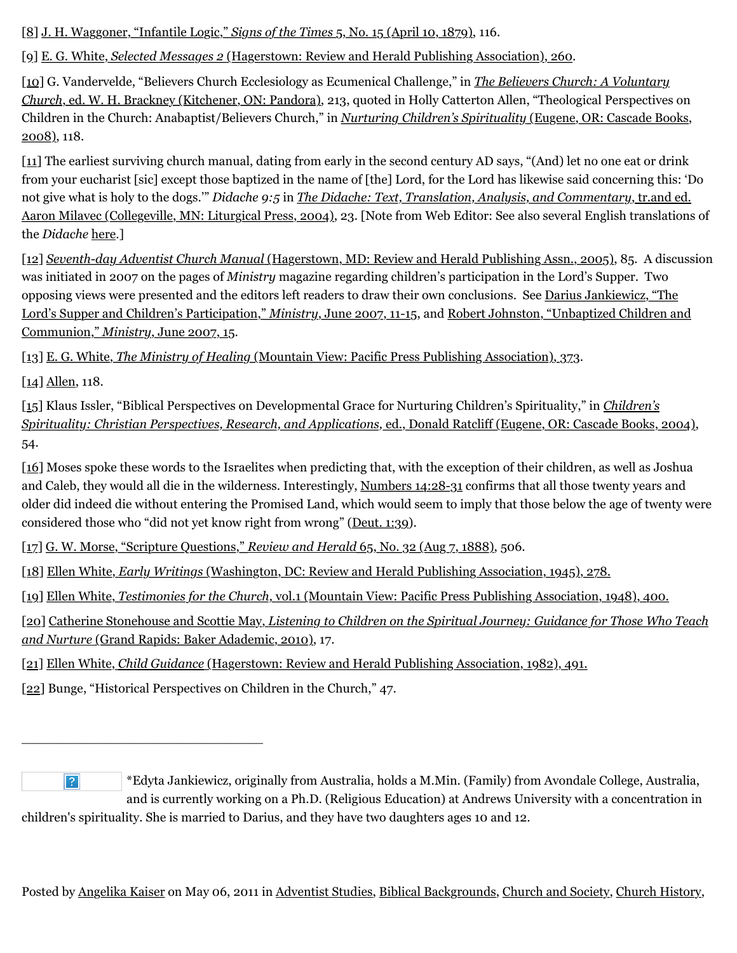[\[8\]](http://web.archive.org/web/20120715230902/http://www.memorymeaningfaith.org/blog/2011/05/are-children-born-sinners.html#_ftnref) [J. H. Waggoner, "Infantile Logic,"](http://web.archive.org/web/20120715230902/http://www.adventistarchives.org/doc_info.asp?DocID=164764) *[Signs of the Times](http://web.archive.org/web/20120715230902/http://www.adventistarchives.org/doc_info.asp?DocID=164764)* [5, No. 15 \(April 10, 1879\),](http://web.archive.org/web/20120715230902/http://www.adventistarchives.org/doc_info.asp?DocID=164764) 116.

[\[9\]](http://web.archive.org/web/20120715230902/http://www.memorymeaningfaith.org/blog/2011/05/are-children-born-sinners.html#_ftnref) [E. G. White,](http://web.archive.org/web/20120715230902/https://egwwritings.org/) *[Selected Messages 2](http://web.archive.org/web/20120715230902/https://egwwritings.org/)* [\(Hagerstown: Review and Herald Publishing Association\), 260.](http://web.archive.org/web/20120715230902/https://egwwritings.org/)

[\[10\]](http://web.archive.org/web/20120715230902/http://www.memorymeaningfaith.org/blog/2011/05/are-children-born-sinners.html#_ftnref) G. Vandervelde, "Believers Church Ecclesiology as Ecumenical Challenge," in *The Believers Church: A Voluntary Church*[, ed. W. H. Brackney \(Kitchener, ON: Pandora\), 213, quoted in Holly Catterton Allen, "Theological Perspectives](http://web.archive.org/web/20120715230902/http://www.amazon.com/Believers-Church-Voluntary/dp/0968346200/ref=sr_1_1?ie=UTF8&s=books&qid=1304695702&sr=8-1) on [Children in the Church: Anabaptist/Believers Church," in](http://web.archive.org/web/20120715230902/http://www.amazon.com/Nurturing-Childrens-Spirituality-Christian-Perspectives/dp/1556355580/ref=sr_1_1?s=books&ie=UTF8&qid=1304695765&sr=1-1) *[Nurturing Children's Spirituality](http://web.archive.org/web/20120715230902/http://www.amazon.com/Nurturing-Childrens-Spirituality-Christian-Perspectives/dp/1556355580/ref=sr_1_1?s=books&ie=UTF8&qid=1304695765&sr=1-1)* (Eugene, OR: Cascade Books, 2008), 118.

[\[11\]](http://web.archive.org/web/20120715230902/http://www.memorymeaningfaith.org/blog/2011/05/are-children-born-sinners.html#_ftnref) The earliest surviving church manual, dating from early in the second century AD says, "(And) let no one eat or drink from your eucharist [sic] except those baptized in the name of [the] Lord, for the Lord has likewise said concerning this: 'Do not give what is holy to the dogs.'" *Didache 9:5* in *[The Didache: Text, Translation, Analysis, and Commentary](http://web.archive.org/web/20120715230902/http://www.amazon.com/Didache-Text-Translation-Analysis-Commentary/dp/0814658318/ref=cm_cr_pr_product_top)*, tr.and ed. [Aaron Milavec \(Collegeville, MN: Liturgical Press, 2004\), 23. \[Note from Web Editor: See also several English translations](http://web.archive.org/web/20120715230902/http://www.amazon.com/Didache-Text-Translation-Analysis-Commentary/dp/0814658318/ref=cm_cr_pr_product_top) of the *Didache* [here](http://web.archive.org/web/20120715230902/http://www.earlychristianwritings.com/didache.html).]

[\[12\]](http://web.archive.org/web/20120715230902/http://www.memorymeaningfaith.org/blog/2011/05/are-children-born-sinners.html#_ftnref) *[Seventh-day Adventist Church Manual](http://web.archive.org/web/20120715230902/http://www.gcsecretariat.org/Evans_files/Seventh-day-Adventist-Church-Manual-17th-edition.pdf)* [\(Hagerstown, MD: Review and Herald Publishing Assn., 2005\)](http://web.archive.org/web/20120715230902/http://www.gcsecretariat.org/Evans_files/Seventh-day-Adventist-Church-Manual-17th-edition.pdf), 85. A discussion was initiated in 2007 on the pages of *Ministry* magazine regarding children's participation in the Lord's Supper. Two [opposing views were presented and the editors left readers to draw their own conclusions. See Darius Jankiewicz, "The](http://web.archive.org/web/20120715230902/http://www.ministrymagazine.org/archive/2007/June/the-lords-supper-and-childrens-particpation.html) Lord's Supper and Children's Participation," *[Ministry](http://web.archive.org/web/20120715230902/http://www.ministrymagazine.org/archive/2007/June/the-lords-supper-and-childrens-particpation.html)*[, June 2007, 11-15](http://web.archive.org/web/20120715230902/http://www.ministrymagazine.org/archive/2007/June/the-lords-supper-and-childrens-particpation.html)[, and Robert Johnston, "Unbaptized Children and](http://web.archive.org/web/20120715230902/http://www.ministrymagazine.org/archive/2007/June/unbaptized-children-and-communion.html) Communion," *[Ministry](http://web.archive.org/web/20120715230902/http://www.ministrymagazine.org/archive/2007/June/unbaptized-children-and-communion.html)*[, June 2007, 15](http://web.archive.org/web/20120715230902/http://www.ministrymagazine.org/archive/2007/June/unbaptized-children-and-communion.html).

[\[13\]](http://web.archive.org/web/20120715230902/http://www.memorymeaningfaith.org/blog/2011/05/are-children-born-sinners.html#_ftnref) [E. G. White,](http://web.archive.org/web/20120715230902/http://www.whiteestate.org/books/mh/mh31.html) *[The Ministry of Healing](http://web.archive.org/web/20120715230902/http://www.whiteestate.org/books/mh/mh31.html)* [\(Mountain View: Pacific Press Publishing Association\), 373](http://web.archive.org/web/20120715230902/http://www.whiteestate.org/books/mh/mh31.html).

[\[14\]](http://web.archive.org/web/20120715230902/http://www.memorymeaningfaith.org/blog/2011/05/are-children-born-sinners.html#_ftnref) [Allen,](http://web.archive.org/web/20120715230902/http://www.amazon.com/Nurturing-Childrens-Spirituality-Christian-Perspectives/dp/1556355580/ref=sr_1_1?s=books&ie=UTF8&qid=1304695765&sr=1-1) 118.

[\[15\] Klaus Issler, "Biblical Perspectives on Developmental Grace for Nurturing Children's Spirituality," in](http://web.archive.org/web/20120715230902/http://www.amazon.com/Childrens-Spirituality-Christian-Perspectives-Applications/dp/1592447112/ref=sr_1_1?ie=UTF8&qid=1304689720&sr=8-1) *Children's Spirituality: Christian Perspectives, Research, and Applications,* [ed., Donald Ratcliff \(Eugene, OR: Cascade Books, 2004\),](http://web.archive.org/web/20120715230902/http://www.amazon.com/Childrens-Spirituality-Christian-Perspectives-Applications/dp/1592447112/ref=sr_1_1?ie=UTF8&qid=1304689720&sr=8-1) 54.

[\[16\]](http://web.archive.org/web/20120715230902/http://www.memorymeaningfaith.org/blog/2011/05/are-children-born-sinners.html#_ftnref) Moses spoke these words to the Israelites when predicting that, with the exception of their children, as well as Joshua and Caleb, they would all die in the wilderness. Interestingly, [Numbers 14:28-31](http://web.archive.org/web/20120715230902/http://www.biblegateway.com/passage/?search=Numbers%2014:28-31%20&version=NKJV) confirms that all those twenty years and older did indeed die without entering the Promised Land, which would seem to imply that those below the age of twenty were considered those who "did not yet know right from wrong" ([Deut. 1:39\)](http://web.archive.org/web/20120715230902/http://www.biblegateway.com/passage/?search=Deut.%201:39&version=NKJV).

[\[17\]](http://web.archive.org/web/20120715230902/http://www.memorymeaningfaith.org/blog/2011/05/are-children-born-sinners.html#_ftnref) [G. W. Morse, "Scripture Questions,"](http://web.archive.org/web/20120715230902/http://www.adventistarchives.org/doc_info.asp?DocID=90399) *[Review and Herald](http://web.archive.org/web/20120715230902/http://www.adventistarchives.org/doc_info.asp?DocID=90399)* [65, No. 32 \(Aug 7, 1888\),](http://web.archive.org/web/20120715230902/http://www.adventistarchives.org/doc_info.asp?DocID=90399) 506.

[\[18\]](http://web.archive.org/web/20120715230902/http://www.memorymeaningfaith.org/blog/2011/05/are-children-born-sinners.html#_ftnref) [Ellen White,](http://web.archive.org/web/20120715230902/https://egwwritings.org/) *[Early Writings](http://web.archive.org/web/20120715230902/https://egwwritings.org/)* [\(Washington, DC: Review and Herald Publishing Association, 1945\), 278.](http://web.archive.org/web/20120715230902/https://egwwritings.org/)

[\[19\]](http://web.archive.org/web/20120715230902/http://www.memorymeaningfaith.org/blog/2011/05/are-children-born-sinners.html#_ftnref) [Ellen White,](http://web.archive.org/web/20120715230902/https://egwwritings.org/) *[Testimonies for the Church,](http://web.archive.org/web/20120715230902/https://egwwritings.org/)* [vol.1 \(Mountain View: Pacific Press Publishing Association, 1948\), 400.](http://web.archive.org/web/20120715230902/https://egwwritings.org/)

[\[20\]](http://web.archive.org/web/20120715230902/http://www.memorymeaningfaith.org/blog/2011/05/are-children-born-sinners.html#_ftnref) [Catherine Stonehouse and Scottie May,](http://web.archive.org/web/20120715230902/http://www.amazon.com/Listening-Children-Spiritual-Journey-Guidance/dp/0801032369/ref=sr_1_1?ie=UTF8&s=books&qid=1304695955&sr=1-1) *[Listening to Children on the Spiritual Journey: Guidance for Those Who Teach](http://web.archive.org/web/20120715230902/http://www.amazon.com/Listening-Children-Spiritual-Journey-Guidance/dp/0801032369/ref=sr_1_1?ie=UTF8&s=books&qid=1304695955&sr=1-1) and Nurture* [\(Grand Rapids: Baker Adademic, 2010\)](http://web.archive.org/web/20120715230902/http://www.amazon.com/Listening-Children-Spiritual-Journey-Guidance/dp/0801032369/ref=sr_1_1?ie=UTF8&s=books&qid=1304695955&sr=1-1), 17.

[\[21\]](http://web.archive.org/web/20120715230902/http://www.memorymeaningfaith.org/blog/2011/05/are-children-born-sinners.html#_ftnref) [Ellen White,](http://web.archive.org/web/20120715230902/https://egwwritings.org/) *[Child Guidance](http://web.archive.org/web/20120715230902/https://egwwritings.org/)* [\(Hagerstown: Review and Herald Publishing Association, 1982\), 491.](http://web.archive.org/web/20120715230902/https://egwwritings.org/)

[\[22\]](http://web.archive.org/web/20120715230902/http://www.memorymeaningfaith.org/blog/2011/05/are-children-born-sinners.html#_ftnref) Bunge, "Historical Perspectives on Children in the Church," 47.

\_\_\_\_\_\_\_\_\_\_\_\_\_\_\_\_\_\_\_\_\_\_\_\_\_\_\_\_\_\_

 $\boxed{?}$ 

\*Edyta Jankiewicz, originally from Australia, holds a M.Min. (Family) from Avondale College, Australia, and is currently working on a Ph.D. (Religious Education) at Andrews University with a concentration in

children's spirituality. She is married to Darius, and they have two daughters ages 10 and 12.